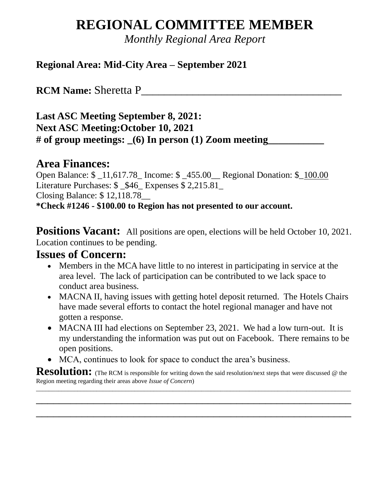# **REGIONAL COMMITTEE MEMBER**

*Monthly Regional Area Report*

#### **Regional Area: Mid-City Area – September 2021**

**RCM Name: Sheretta P\_** 

**Last ASC Meeting September 8, 2021: Next ASC Meeting:October 10, 2021** # of group meetings: (6) In person (1) Zoom meeting

### **Area Finances:**

Open Balance: \$ \_11,617.78\_ Income: \$ \_455.00\_\_ Regional Donation: \$\_100.00 Literature Purchases:  $$$  \$46 Expenses \$ 2,215.81 Closing Balance: \$ 12,118.78\_\_ **\*Check #1246 - \$100.00 to Region has not presented to our account.**

**Positions Vacant:** All positions are open, elections will be held October 10, 2021. Location continues to be pending.

## **Issues of Concern:**

- Members in the MCA have little to no interest in participating in service at the area level. The lack of participation can be contributed to we lack space to conduct area business.
- MACNA II, having issues with getting hotel deposit returned. The Hotels Chairs have made several efforts to contact the hotel regional manager and have not gotten a response.
- MACNA III had elections on September 23, 2021. We had a low turn-out. It is my understanding the information was put out on Facebook. There remains to be open positions.
- MCA, continues to look for space to conduct the area's business.

**Resolution:** (The RCM is responsible for writing down the said resolution/next steps that were discussed @ the Region meeting regarding their areas above *Issue of Concern*) \_\_\_\_\_\_\_\_\_\_\_\_\_\_\_\_\_\_\_\_\_\_\_\_\_\_\_\_\_\_\_\_\_\_\_\_\_\_\_\_\_\_\_\_\_\_\_\_\_\_\_\_\_\_\_\_\_\_\_\_\_\_\_\_\_\_\_\_\_\_\_\_\_\_\_\_\_\_\_\_\_\_\_\_\_\_\_\_\_\_\_\_\_\_\_\_\_\_\_

\_\_\_\_\_\_\_\_\_\_\_\_\_\_\_\_\_\_\_\_\_\_\_\_\_\_\_\_\_\_\_\_\_\_\_\_\_\_\_\_\_\_\_\_\_\_\_\_\_\_\_\_\_\_\_

\_\_\_\_\_\_\_\_\_\_\_\_\_\_\_\_\_\_\_\_\_\_\_\_\_\_\_\_\_\_\_\_\_\_\_\_\_\_\_\_\_\_\_\_\_\_\_\_\_\_\_\_\_\_\_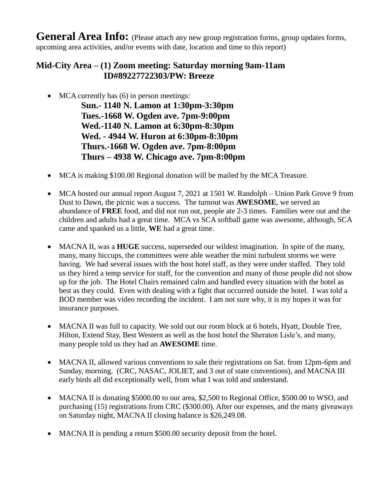**General Area Info:** (Please attach any new group registration forms, group updates forms, upcoming area activities, and/or events with date, location and time to this report)

#### **Mid-City Area – (1) Zoom meeting: Saturday morning 9am-11am ID#89227722303/PW: Breeze**

• MCA currently has (6) in person meetings:

**Sun.- 1140 N. Lamon at 1:30pm-3:30pm Tues.-1668 W. Ogden ave. 7pm-9:00pm Wed.-1140 N. Lamon at 6:30pm-8:30pm Wed. - 4944 W. Huron at 6:30pm-8:30pm Thurs.-1668 W. Ogden ave. 7pm-8:00pm Thurs – 4938 W. Chicago ave. 7pm-8:00pm**

- MCA is making \$100.00 Regional donation will be mailed by the MCA Treasure.
- MCA hosted our annual report August 7, 2021 at 1501 W. Randolph Union Park Grove 9 from Dust to Dawn, the picnic was a success. The turnout was **AWESOME**, we served an abundance of **FREE** food, and did not run out, people ate 2-3 times. Families were out and the children and adults had a great time. MCA vs SCA softball game was awesome, although, SCA came and spanked us a little, **WE** had a great time.
- MACNA II, was a **HUGE** success, superseded our wildest imagination. In spite of the many, many, many hiccups, the committees were able weather the mini turbulent storms we were having. We had several issues with the host hotel staff, as they were under staffed. They told us they hired a temp service for staff, for the convention and many of those people did not show up for the job. The Hotel Chairs remained calm and handled every situation with the hotel as best as they could. Even with dealing with a fight that occurred outside the hotel. I was told a BOD member was video recording the incident. I am not sure why, it is my hopes it was for insurance purposes.
- MACNA II was full to capacity. We sold out our room block at 6 hotels, Hyatt, Double Tree, Hilton, Extend Stay, Best Western as well as the host hotel the Sheraton Lisle's, and many, many people told us they had an **AWESOME** time.
- MACNA II, allowed various conventions to sale their registrations on Sat. from 12pm-6pm and Sunday, morning. (CRC, NASAC, JOLIET, and 3 out of state conventions), and MACNA III early birds all did exceptionally well, from what I was told and understand.
- MACNA II is donating \$5000.00 to our area, \$2,500 to Regional Office, \$500.00 to WSO, and purchasing (15) registrations from CRC (\$300.00). After our expenses, and the many giveaways on Saturday night, MACNA II closing balance is \$26,249.08.
- MACNA II is pending a return \$500.00 security deposit from the hotel.